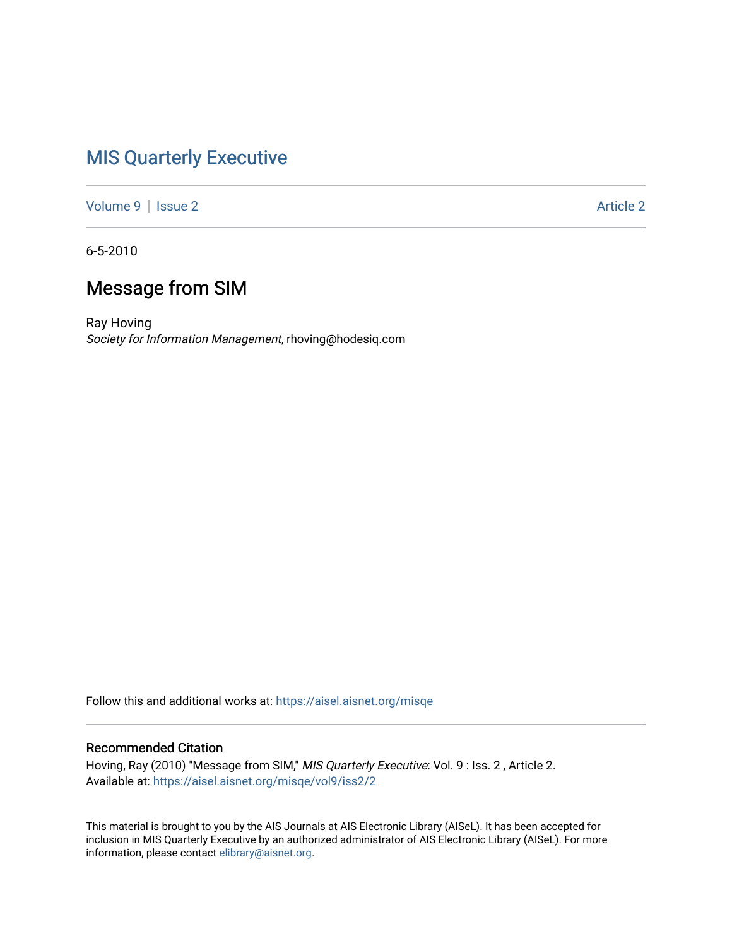## [MIS Quarterly Executive](https://aisel.aisnet.org/misqe)

[Volume 9](https://aisel.aisnet.org/misqe/vol9) | [Issue 2](https://aisel.aisnet.org/misqe/vol9/iss2) Article 2

6-5-2010

## Message from SIM

Ray Hoving Society for Information Management, rhoving@hodesiq.com

Follow this and additional works at: [https://aisel.aisnet.org/misqe](https://aisel.aisnet.org/misqe?utm_source=aisel.aisnet.org%2Fmisqe%2Fvol9%2Fiss2%2F2&utm_medium=PDF&utm_campaign=PDFCoverPages)

#### Recommended Citation

Hoving, Ray (2010) "Message from SIM," MIS Quarterly Executive: Vol. 9 : Iss. 2 , Article 2. Available at: [https://aisel.aisnet.org/misqe/vol9/iss2/2](https://aisel.aisnet.org/misqe/vol9/iss2/2?utm_source=aisel.aisnet.org%2Fmisqe%2Fvol9%2Fiss2%2F2&utm_medium=PDF&utm_campaign=PDFCoverPages) 

This material is brought to you by the AIS Journals at AIS Electronic Library (AISeL). It has been accepted for inclusion in MIS Quarterly Executive by an authorized administrator of AIS Electronic Library (AISeL). For more information, please contact [elibrary@aisnet.org.](mailto:elibrary@aisnet.org%3E)